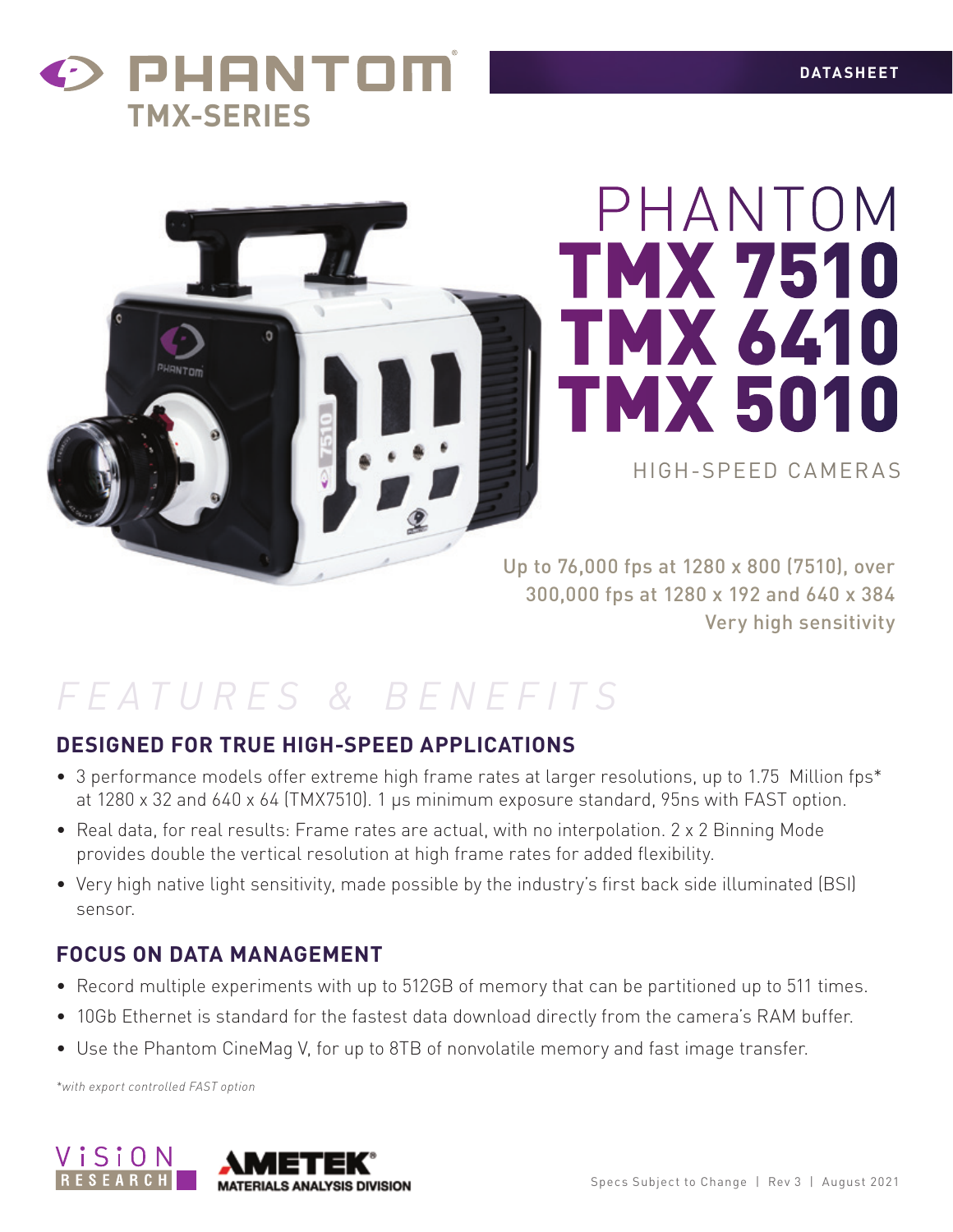## PHANTOM **TMX-SERIES**



# PHANTOM TMX 7510 TMX 6410 TMX 5010

HIGH-SPEED CAMERAS

Up to 76,000 fps at 1280 x 800 (7510), over 300,000 fps at 1280 x 192 and 640 x 384 Very high sensitivity

## *FEATURES & BENEFITS*

#### **DESIGNED FOR TRUE HIGH-SPEED APPLICATIONS**

- 3 performance models offer extreme high frame rates at larger resolutions, up to 1.75 Million fps\* at 1280 x 32 and 640 x 64 (TMX7510). 1 µs minimum exposure standard, 95ns with FAST option.
- Real data, for real results: Frame rates are actual, with no interpolation. 2 x 2 Binning Mode provides double the vertical resolution at high frame rates for added flexibility.
- • Very high native light sensitivity, made possible by the industry's first back side illuminated (BSI) sensor.

#### **FOCUS ON DATA MANAGEMENT**

- Record multiple experiments with up to 512GB of memory that can be partitioned up to 511 times.
- 10Gb Ethernet is standard for the fastest data download directly from the camera's RAM buffer.
- Use the Phantom CineMag V, for up to 8TB of nonvolatile memory and fast image transfer.

*\*with export controlled FAST option*

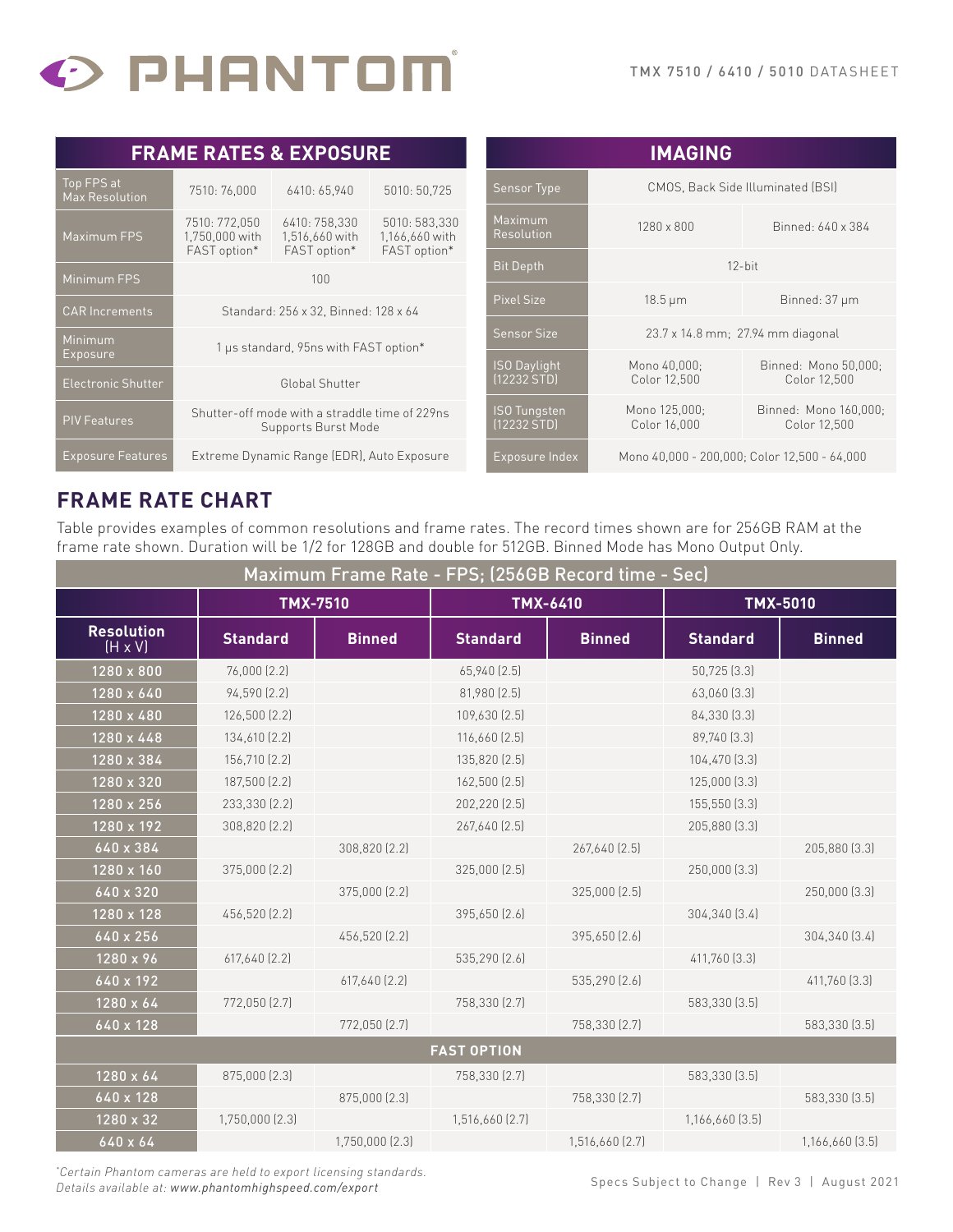

| <b>FRAME RATES &amp; EXPOSURE</b>   |                                                                       |                                                 |                                                 | <b>IMAGING</b>                     |                                   |                                              |
|-------------------------------------|-----------------------------------------------------------------------|-------------------------------------------------|-------------------------------------------------|------------------------------------|-----------------------------------|----------------------------------------------|
| Top FPS at<br><b>Max Resolution</b> | 7510: 76,000                                                          | 6410: 65,940<br>5010: 50,725                    |                                                 | <b>Sensor Type</b>                 | CMOS, Back Side Illuminated (BSI) |                                              |
| Maximum FPS                         | 7510: 772,050<br>1,750,000 with<br>FAST option*                       | 6410: 758,330<br>1,516,660 with<br>FAST option* | 5010: 583,330<br>1,166,660 with<br>FAST option* | Maximum<br>Resolution              | $1280 \times 800$                 | Binned: 640 x 384                            |
| Minimum FPS                         | 100                                                                   |                                                 |                                                 | <b>Bit Depth</b>                   | $12$ -bit                         |                                              |
| <b>CAR Increments</b>               |                                                                       |                                                 |                                                 | Pixel Size                         | $18.5 \,\mathrm{\upmu m}$         | Binned: 37 µm                                |
|                                     | Standard: 256 x 32, Binned: 128 x 64                                  |                                                 |                                                 | Sensor Size                        | 23.7 x 14.8 mm; 27.94 mm diagonal |                                              |
| <b>Minimum</b><br>Exposure          | 1 µs standard, 95ns with FAST option*                                 |                                                 |                                                 |                                    |                                   |                                              |
| <b>Electronic Shutter</b>           | Global Shutter                                                        |                                                 |                                                 | <b>ISO Daylight</b><br>[12232 STD] | Mono 40,000:<br>Color 12,500      | Binned: Mono 50,000;<br>Color 12,500         |
| <b>PIV Features</b>                 | Shutter-off mode with a straddle time of 229ns<br>Supports Burst Mode |                                                 |                                                 | <b>ISO Tungsten</b><br>(12232 STD) | Mono 125,000:<br>Color 16,000     | Binned: Mono 160,000;<br>Color 12,500        |
| <b>Exposure Features</b>            | Extreme Dynamic Range (EDR), Auto Exposure                            |                                                 |                                                 | Exposure Index                     |                                   | Mono 40,000 - 200,000; Color 12,500 - 64,000 |

#### **FRAME RATE CHART**

Table provides examples of common resolutions and frame rates. The record times shown are for 256GB RAM at the frame rate shown. Duration will be 1/2 for 128GB and double for 512GB. Binned Mode has Mono Output Only.

| Maximum Frame Rate - FPS; (256GB Record time - Sec) |                 |                 |                   |                 |                 |                 |
|-----------------------------------------------------|-----------------|-----------------|-------------------|-----------------|-----------------|-----------------|
|                                                     | <b>TMX-7510</b> |                 | TMX-6410          |                 | <b>TMX-5010</b> |                 |
| <b>Resolution</b><br>$(H \times V)$                 | <b>Standard</b> | <b>Binned</b>   | <b>Standard</b>   | <b>Binned</b>   | <b>Standard</b> | <b>Binned</b>   |
| 1280 x 800                                          | 76,000 (2.2)    |                 | 65,940 (2.5)      |                 | 50,725 (3.3)    |                 |
| 1280 x 640                                          | 94,590 (2.2)    |                 | 81,980 (2.5)      |                 | 63,060 [3.3]    |                 |
| 1280 x 480                                          | 126,500 (2.2)   |                 | 109,630 [2.5]     |                 | 84,330 [3.3]    |                 |
| 1280 x 448                                          | 134,610 (2.2)   |                 | $116,660$ $(2.5)$ |                 | 89,740 [3.3]    |                 |
| 1280 x 384                                          | 156,710 (2.2)   |                 | 135,820 (2.5)     |                 | 104,470 [3.3]   |                 |
| 1280 x 320                                          | 187,500 (2.2)   |                 | 162,500 (2.5)     |                 | 125,000 (3.3)   |                 |
| 1280 x 256                                          | 233,330 (2.2)   |                 | 202,220 (2.5)     |                 | 155,550 (3.3)   |                 |
| 1280 x 192                                          | 308,820 (2.2)   |                 | 267,640 [2.5]     |                 | 205,880 [3.3]   |                 |
| 640 x 384                                           |                 | 308,820 (2.2)   |                   | 267,640 [2.5]   |                 | 205,880 (3.3)   |
| 1280 x 160                                          | 375,000 (2.2)   |                 | 325,000 (2.5)     |                 | 250,000 (3.3)   |                 |
| 640 x 320                                           |                 | 375,000 (2.2)   |                   | 325,000 (2.5)   |                 | 250,000 [3.3]   |
| 1280 x 128                                          | 456,520 (2.2)   |                 | 395,650 (2.6)     |                 | 304,340 [3.4]   |                 |
| 640 x 256                                           |                 | 456,520 (2.2)   |                   | 395,650 (2.6)   |                 | 304,340 [3.4]   |
| 1280 x 96                                           | 617,640 (2.2)   |                 | 535,290 [2.6]     |                 | 411,760 [3.3]   |                 |
| 640 x 192                                           |                 | 617,640 (2.2)   |                   | 535,290 (2.6)   |                 | 411,760 [3.3]   |
| 1280 x 64                                           | 772,050 (2.7)   |                 | 758,330 (2.7)     |                 | 583,330 [3.5]   |                 |
| 640 x 128                                           |                 | 772,050 (2.7)   |                   | 758,330 (2.7)   |                 | 583,330 (3.5)   |
| <b>FAST OPTION</b>                                  |                 |                 |                   |                 |                 |                 |
| 1280 x 64                                           | 875,000 (2.3)   |                 | 758,330 (2.7)     |                 | 583,330 (3.5)   |                 |
| 640 x 128                                           |                 | 875,000 (2.3)   |                   | 758,330 (2.7)   |                 | 583,330 [3.5]   |
| 1280 x 32                                           | 1,750,000 (2.3) |                 | 1,516,660 (2.7)   |                 | 1,166,660 [3.5] |                 |
| 640 x 64                                            |                 | 1,750,000 (2.3) |                   | 1,516,660 [2.7] |                 | 1,166,660 [3.5] |

*\* Certain Phantom cameras are held to export licensing standards. Details available at: www.phantomhighspeed.com/export*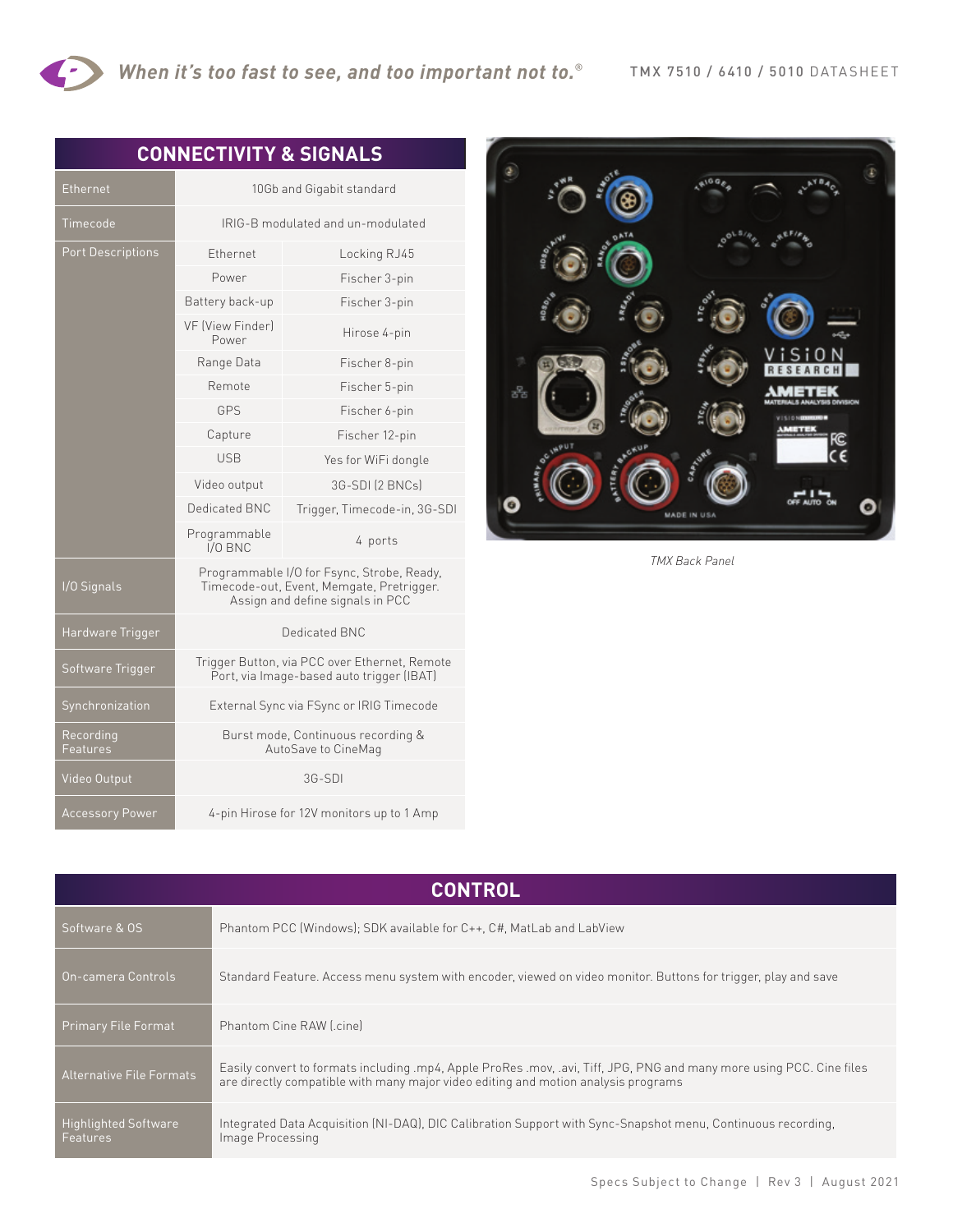|                          | <b>CONNECTIVITY &amp; SIGNALS</b>                                                                                           |                              |  |  |
|--------------------------|-----------------------------------------------------------------------------------------------------------------------------|------------------------------|--|--|
| Ethernet                 | 10Gb and Gigabit standard                                                                                                   |                              |  |  |
| Timecode                 | IRIG-B modulated and un-modulated                                                                                           |                              |  |  |
| <b>Port Descriptions</b> | Ethernet                                                                                                                    | Locking RJ45                 |  |  |
|                          | Power                                                                                                                       | Fischer 3-pin                |  |  |
|                          | Battery back-up                                                                                                             | Fischer 3-pin                |  |  |
|                          | VF (View Finder)<br>Power                                                                                                   | Hirose 4-pin                 |  |  |
|                          | Range Data                                                                                                                  | Fischer 8-pin                |  |  |
|                          | Remote                                                                                                                      | Fischer 5-pin                |  |  |
|                          | GPS                                                                                                                         | Fischer 6-pin                |  |  |
|                          | Capture                                                                                                                     | Fischer 12-pin               |  |  |
|                          | <b>USB</b>                                                                                                                  | Yes for WiFi dongle          |  |  |
|                          | Video output                                                                                                                | 3G-SDI (2 BNCs)              |  |  |
|                          | Dedicated BNC                                                                                                               | Trigger, Timecode-in, 3G-SDI |  |  |
|                          | Programmable<br>$I/O$ BNC                                                                                                   | 4 ports                      |  |  |
| I/O Signals              | Programmable I/O for Fsync, Strobe, Ready,<br>Timecode-out, Event, Memgate, Pretrigger.<br>Assign and define signals in PCC |                              |  |  |
| Hardware Trigger         | Dedicated BNC                                                                                                               |                              |  |  |
| Software Trigger         | Trigger Button, via PCC over Ethernet, Remote<br>Port, via Image-based auto trigger (IBAT)                                  |                              |  |  |
| Synchronization          | External Sync via FSync or IRIG Timecode                                                                                    |                              |  |  |
| Recording                | Burst mode, Continuous recording &                                                                                          |                              |  |  |

AutoSave to CineMag

Features

Video Output 3G-SDI

Accessory Power 4-pin Hirose for 12V monitors up to 1 Amp



*TMX Back Panel*

| <b>CONTROL</b>                          |                                                                                                                                                                                                             |  |  |
|-----------------------------------------|-------------------------------------------------------------------------------------------------------------------------------------------------------------------------------------------------------------|--|--|
| Software & OS                           | Phantom PCC (Windows); SDK available for C++, C#, MatLab and LabView                                                                                                                                        |  |  |
| On-camera Controls                      | Standard Feature. Access menu system with encoder, viewed on video monitor. Buttons for trigger, play and save                                                                                              |  |  |
| <b>Primary File Format</b>              | Phantom Cine RAW [.cine]                                                                                                                                                                                    |  |  |
| <b>Alternative File Formats</b>         | Easily convert to formats including .mp4, Apple ProRes .mov, .avi, Tiff, JPG, PNG and many more using PCC. Cine files<br>are directly compatible with many major video editing and motion analysis programs |  |  |
| <b>Highlighted Software</b><br>Features | Integrated Data Acquisition (NI-DAQ), DIC Calibration Support with Sync-Snapshot menu, Continuous recording,<br>Image Processing                                                                            |  |  |